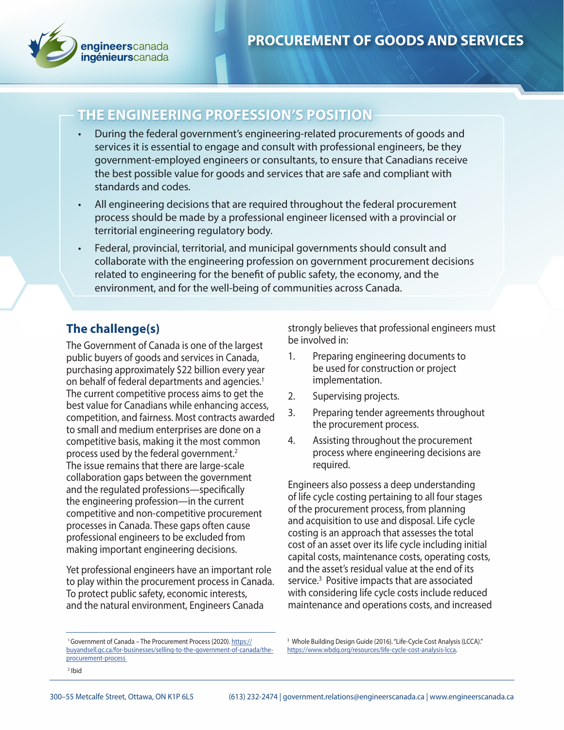

# **THE ENGINEERING PROFESSION'S POSITION**

- During the federal government's engineering-related procurements of goods and services it is essential to engage and consult with professional engineers, be they government-employed engineers or consultants, to ensure that Canadians receive the best possible value for goods and services that are safe and compliant with standards and codes.
- All engineering decisions that are required throughout the federal procurement process should be made by a professional engineer licensed with a provincial or territorial engineering regulatory body.
- Federal, provincial, territorial, and municipal governments should consult and collaborate with the engineering profession on government procurement decisions related to engineering for the benefit of public safety, the economy, and the environment, and for the well-being of communities across Canada.

## **The challenge(s)**

The Government of Canada is one of the largest public buyers of goods and services in Canada, purchasing approximately \$22 billion every year on behalf of federal departments and agencies.<sup>1</sup> The current competitive process aims to get the best value for Canadians while enhancing access, competition, and fairness. Most contracts awarded to small and medium enterprises are done on a competitive basis, making it the most common process used by the federal government.<sup>2</sup> The issue remains that there are large-scale collaboration gaps between the government and the regulated professions—specifically the engineering profession—in the current competitive and non-competitive procurement processes in Canada. These gaps often cause professional engineers to be excluded from making important engineering decisions.

Yet professional engineers have an important role to play within the procurement process in Canada. To protect public safety, economic interests, and the natural environment, Engineers Canada

<sup>1</sup> Government of Canada – The Procurement Process (2020). https:// buyandsell.gc.ca/for-businesses/selling-to-the-government-of-canada/theprocurement-process

strongly believes that professional engineers must be involved in:

- 1. Preparing engineering documents to be used for construction or project implementation.
- 2. Supervising projects.
- 3. Preparing tender agreements throughout the procurement process.
- 4. Assisting throughout the procurement process where engineering decisions are required.

Engineers also possess a deep understanding of life cycle costing pertaining to all four stages of the procurement process, from planning and acquisition to use and disposal. Life cycle costing is an approach that assesses the total cost of an asset over its life cycle including initial capital costs, maintenance costs, operating costs, and the asset's residual value at the end of its service.<sup>3</sup> Positive impacts that are associated with considering life cycle costs include reduced maintenance and operations costs, and increased

<sup>3</sup> Whole Building Design Guide (2016). "Life-Cycle Cost Analysis (LCCA)." https://www.wbdg.org/resources/life-cycle-cost-analysis-lcca.

<sup>2</sup> Ibid